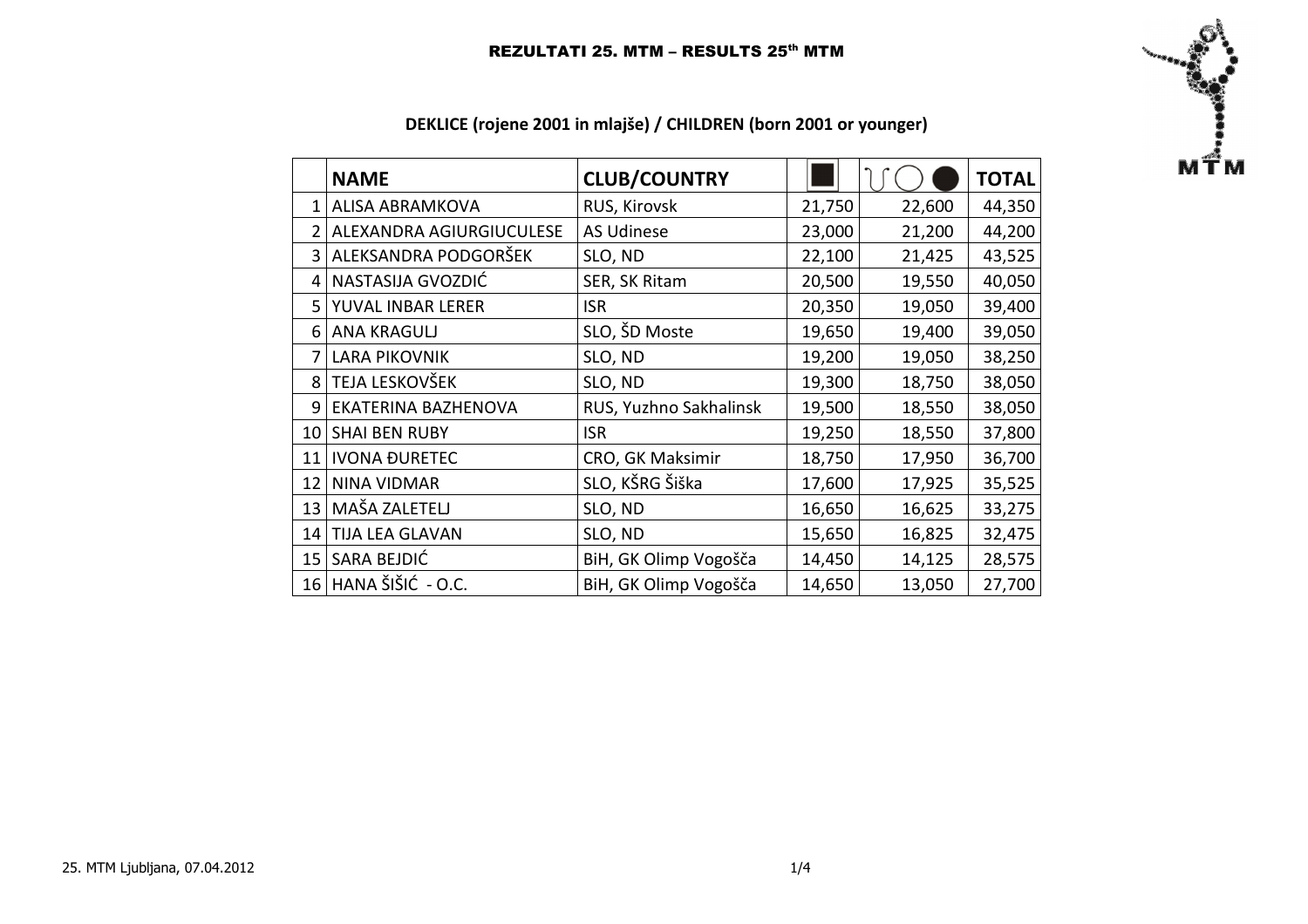

|  |  | DEKLICE (rojene 2001 in mlajše) / CHILDREN (born 2001 or younger) |  |  |  |
|--|--|-------------------------------------------------------------------|--|--|--|
|--|--|-------------------------------------------------------------------|--|--|--|

|                | <b>NAME</b>              | <b>CLUB/COUNTRY</b>    |        |        | <b>TOTAL</b> |
|----------------|--------------------------|------------------------|--------|--------|--------------|
|                | <b>ALISA ABRAMKOVA</b>   | RUS, Kirovsk           | 21,750 | 22,600 | 44,350       |
| $\overline{2}$ | ALEXANDRA AGIURGIUCULESE | <b>AS Udinese</b>      | 23,000 | 21,200 | 44,200       |
| 3              | ALEKSANDRA PODGORŠEK     | SLO, ND                | 22,100 | 21,425 | 43,525       |
|                | NASTASIJA GVOZDIĆ        | SER, SK Ritam          | 20,500 | 19,550 | 40,050       |
|                | 5 YUVAL INBAR LERER      | <b>ISR</b>             | 20,350 | 19,050 | 39,400       |
| 6              | <b>ANA KRAGULJ</b>       | SLO, ŠD Moste          | 19,650 | 19,400 | 39,050       |
| 7              | <b>LARA PIKOVNIK</b>     | SLO, ND                | 19,200 | 19,050 | 38,250       |
| 8              | TEJA LESKOVŠEK           | SLO, ND                | 19,300 | 18,750 | 38,050       |
| 9              | EKATERINA BAZHENOVA      | RUS, Yuzhno Sakhalinsk | 19,500 | 18,550 | 38,050       |
| 10             | <b>SHAI BEN RUBY</b>     | <b>ISR</b>             | 19,250 | 18,550 | 37,800       |
| 11             | <b>IVONA ĐURETEC</b>     | CRO, GK Maksimir       | 18,750 | 17,950 | 36,700       |
| 12             | <b>NINA VIDMAR</b>       | SLO, KŠRG Šiška        | 17,600 | 17,925 | 35,525       |
| 13             | MAŠA ZALETELJ            | SLO, ND                | 16,650 | 16,625 | 33,275       |
| 14             | <b>TIJA LEA GLAVAN</b>   | SLO, ND                | 15,650 | 16,825 | 32,475       |
| 15             | SARA BEJDIĆ              | BiH, GK Olimp Vogošča  | 14,450 | 14,125 | 28,575       |
|                | 16 HANA ŠIŠIĆ - O.C.     | BiH, GK Olimp Vogošča  | 14,650 | 13,050 | 27,700       |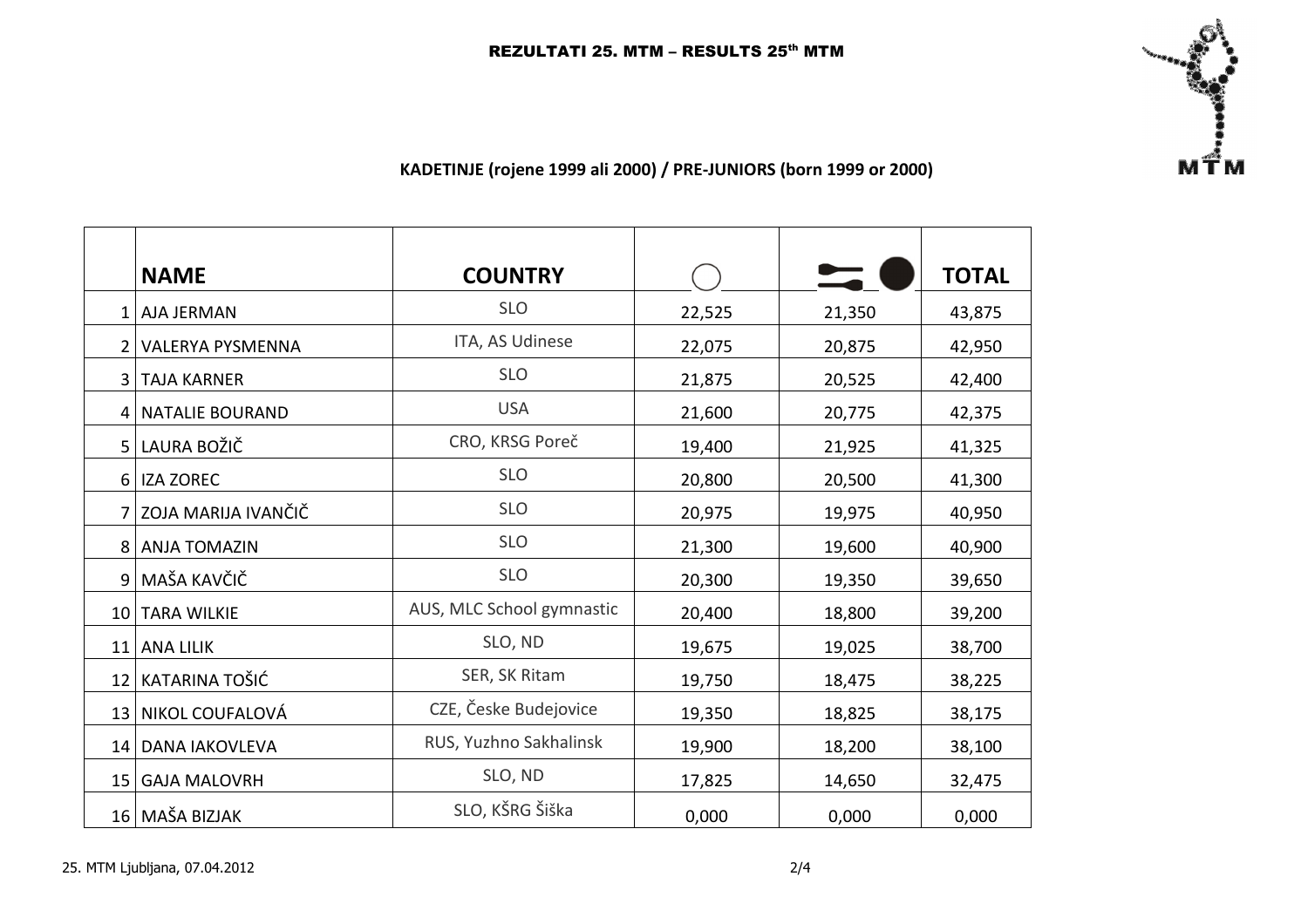

## KADETINJE (rojene 1999 ali 2000) / PRE-JUNIORS (born 1999 or 2000)

|                 | <b>NAME</b>             | <b>COUNTRY</b>            |        |        | <b>TOTAL</b> |
|-----------------|-------------------------|---------------------------|--------|--------|--------------|
| 1 <sup>1</sup>  | <b>AJA JERMAN</b>       | <b>SLO</b>                | 22,525 | 21,350 | 43,875       |
|                 | <b>VALERYA PYSMENNA</b> | ITA, AS Udinese           | 22,075 | 20,875 | 42,950       |
| 3               | <b>TAJA KARNER</b>      | <b>SLO</b>                | 21,875 | 20,525 | 42,400       |
| 4               | <b>NATALIE BOURAND</b>  | <b>USA</b>                | 21,600 | 20,775 | 42,375       |
| 5 <sup>1</sup>  | LAURA BOŽIČ             | CRO, KRSG Poreč           | 19,400 | 21,925 | 41,325       |
| <sup>6</sup>    | <b>IZA ZOREC</b>        | <b>SLO</b>                | 20,800 | 20,500 | 41,300       |
| 7 <sup>1</sup>  | ZOJA MARIJA IVANČIČ     | <b>SLO</b>                | 20,975 | 19,975 | 40,950       |
| 8 <sup>1</sup>  | <b>ANJA TOMAZIN</b>     | <b>SLO</b>                | 21,300 | 19,600 | 40,900       |
| 9 <sup>1</sup>  | MAŠA KAVČIČ             | <b>SLO</b>                | 20,300 | 19,350 | 39,650       |
| 10 I            | <b>TARA WILKIE</b>      | AUS, MLC School gymnastic | 20,400 | 18,800 | 39,200       |
| 11              | <b>ANA LILIK</b>        | SLO, ND                   | 19,675 | 19,025 | 38,700       |
| 12              | KATARINA TOŠIĆ          | SER, SK Ritam             | 19,750 | 18,475 | 38,225       |
| 13 <sup>1</sup> | NIKOL COUFALOVÁ         | CZE, Česke Budejovice     | 19,350 | 18,825 | 38,175       |
| 14 <sup>1</sup> | <b>DANA IAKOVLEVA</b>   | RUS, Yuzhno Sakhalinsk    | 19,900 | 18,200 | 38,100       |
| 15 <sub>l</sub> | <b>GAJA MALOVRH</b>     | SLO, ND                   | 17,825 | 14,650 | 32,475       |
|                 | 16 MAŠA BIZJAK          | SLO, KŠRG Šiška           | 0,000  | 0,000  | 0,000        |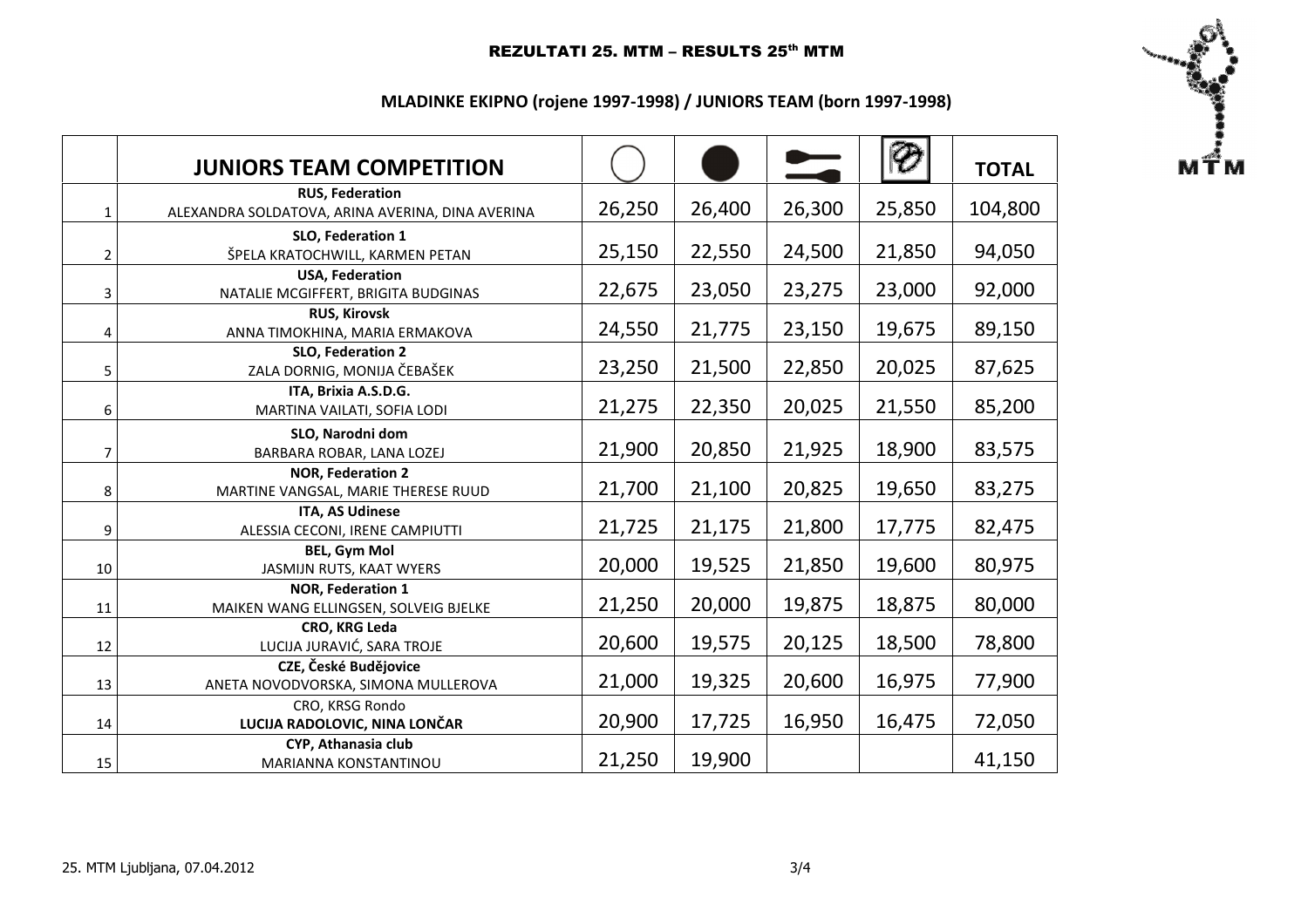## REZULTATI 25. MTM - RESULTS 25<sup>th</sup> MTM

 $\begin{bmatrix}\n\vdots \\
\vdots \\
\vdots\n\end{bmatrix}$ 

## MLADINKE EKIPNO (rojene 1997-1998) / JUNIORS TEAM (born 1997-1998)

|                | <b>JUNIORS TEAM COMPETITION</b>                                            |        |        | $\overline{\phantom{0}}$ |        | <b>TOTAL</b> |
|----------------|----------------------------------------------------------------------------|--------|--------|--------------------------|--------|--------------|
| $\mathbf{1}$   | <b>RUS, Federation</b><br>ALEXANDRA SOLDATOVA, ARINA AVERINA, DINA AVERINA | 26,250 | 26,400 | 26,300                   | 25,850 | 104,800      |
| $\overline{2}$ | SLO, Federation 1<br>ŠPELA KRATOCHWILL, KARMEN PETAN                       | 25,150 | 22,550 | 24,500                   | 21,850 | 94,050       |
| 3              | <b>USA, Federation</b><br>NATALIE MCGIFFERT, BRIGITA BUDGINAS              | 22,675 | 23,050 | 23,275                   | 23,000 | 92,000       |
| 4              | <b>RUS, Kirovsk</b><br>ANNA TIMOKHINA, MARIA ERMAKOVA                      | 24,550 | 21,775 | 23,150                   | 19,675 | 89,150       |
| 5              | SLO, Federation 2<br>ZALA DORNIG, MONIJA ČEBAŠEK                           | 23,250 | 21,500 | 22,850                   | 20,025 | 87,625       |
| 6              | ITA, Brixia A.S.D.G.<br>MARTINA VAILATI, SOFIA LODI                        | 21,275 | 22,350 | 20,025                   | 21,550 | 85,200       |
| 7              | SLO, Narodni dom<br>BARBARA ROBAR, LANA LOZEJ                              | 21,900 | 20,850 | 21,925                   | 18,900 | 83,575       |
| 8              | <b>NOR, Federation 2</b><br>MARTINE VANGSAL, MARIE THERESE RUUD            | 21,700 | 21,100 | 20,825                   | 19,650 | 83,275       |
| 9              | <b>ITA, AS Udinese</b><br>ALESSIA CECONI, IRENE CAMPIUTTI                  | 21,725 | 21,175 | 21,800                   | 17,775 | 82,475       |
| 10             | <b>BEL, Gym Mol</b><br>JASMIJN RUTS, KAAT WYERS                            | 20,000 | 19,525 | 21,850                   | 19,600 | 80,975       |
| 11             | <b>NOR, Federation 1</b><br>MAIKEN WANG ELLINGSEN, SOLVEIG BJELKE          | 21,250 | 20,000 | 19,875                   | 18,875 | 80,000       |
| 12             | CRO, KRG Leda<br>LUCIJA JURAVIĆ, SARA TROJE                                | 20,600 | 19,575 | 20,125                   | 18,500 | 78,800       |
| 13             | CZE, České Budějovice<br>ANETA NOVODVORSKA, SIMONA MULLEROVA               | 21,000 | 19,325 | 20,600                   | 16,975 | 77,900       |
| 14             | CRO, KRSG Rondo<br>LUCIJA RADOLOVIC, NINA LONČAR                           | 20,900 | 17,725 | 16,950                   | 16,475 | 72,050       |
| 15             | CYP, Athanasia club<br>MARIANNA KONSTANTINOU                               | 21,250 | 19,900 |                          |        | 41,150       |